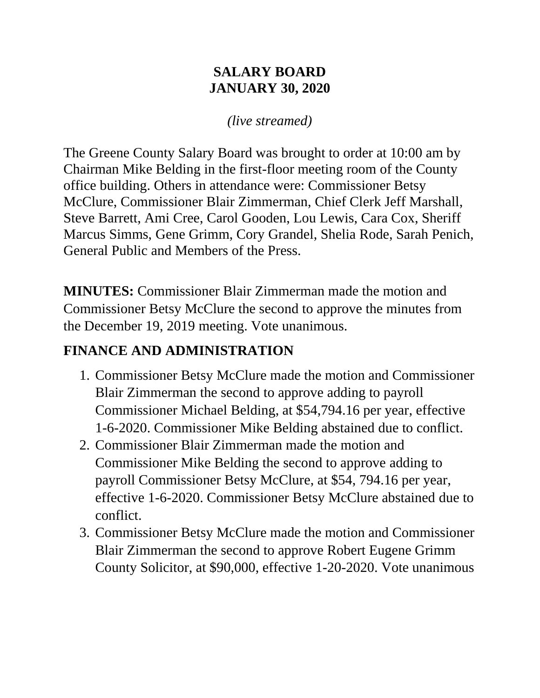#### **SALARY BOARD JANUARY 30, 2020**

#### *(live streamed)*

The Greene County Salary Board was brought to order at 10:00 am by Chairman Mike Belding in the first-floor meeting room of the County office building. Others in attendance were: Commissioner Betsy McClure, Commissioner Blair Zimmerman, Chief Clerk Jeff Marshall, Steve Barrett, Ami Cree, Carol Gooden, Lou Lewis, Cara Cox, Sheriff Marcus Simms, Gene Grimm, Cory Grandel, Shelia Rode, Sarah Penich, General Public and Members of the Press.

**MINUTES:** Commissioner Blair Zimmerman made the motion and Commissioner Betsy McClure the second to approve the minutes from the December 19, 2019 meeting. Vote unanimous.

#### **FINANCE AND ADMINISTRATION**

- 1. Commissioner Betsy McClure made the motion and Commissioner Blair Zimmerman the second to approve adding to payroll Commissioner Michael Belding, at \$54,794.16 per year, effective 1-6-2020. Commissioner Mike Belding abstained due to conflict.
- 2. Commissioner Blair Zimmerman made the motion and Commissioner Mike Belding the second to approve adding to payroll Commissioner Betsy McClure, at \$54, 794.16 per year, effective 1-6-2020. Commissioner Betsy McClure abstained due to conflict.
- 3. Commissioner Betsy McClure made the motion and Commissioner Blair Zimmerman the second to approve Robert Eugene Grimm County Solicitor, at \$90,000, effective 1-20-2020. Vote unanimous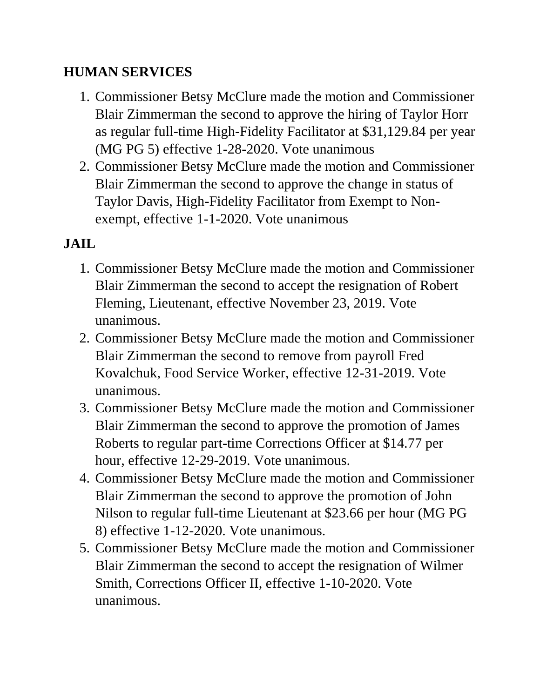#### **HUMAN SERVICES**

- 1. Commissioner Betsy McClure made the motion and Commissioner Blair Zimmerman the second to approve the hiring of Taylor Horr as regular full-time High-Fidelity Facilitator at \$31,129.84 per year (MG PG 5) effective 1-28-2020. Vote unanimous
- 2. Commissioner Betsy McClure made the motion and Commissioner Blair Zimmerman the second to approve the change in status of Taylor Davis, High-Fidelity Facilitator from Exempt to Nonexempt, effective 1-1-2020. Vote unanimous

## **JAIL**

- 1. Commissioner Betsy McClure made the motion and Commissioner Blair Zimmerman the second to accept the resignation of Robert Fleming, Lieutenant, effective November 23, 2019. Vote unanimous.
- 2. Commissioner Betsy McClure made the motion and Commissioner Blair Zimmerman the second to remove from payroll Fred Kovalchuk, Food Service Worker, effective 12-31-2019. Vote unanimous.
- 3. Commissioner Betsy McClure made the motion and Commissioner Blair Zimmerman the second to approve the promotion of James Roberts to regular part-time Corrections Officer at \$14.77 per hour, effective 12-29-2019. Vote unanimous.
- 4. Commissioner Betsy McClure made the motion and Commissioner Blair Zimmerman the second to approve the promotion of John Nilson to regular full-time Lieutenant at \$23.66 per hour (MG PG 8) effective 1-12-2020. Vote unanimous.
- 5. Commissioner Betsy McClure made the motion and Commissioner Blair Zimmerman the second to accept the resignation of Wilmer Smith, Corrections Officer II, effective 1-10-2020. Vote unanimous.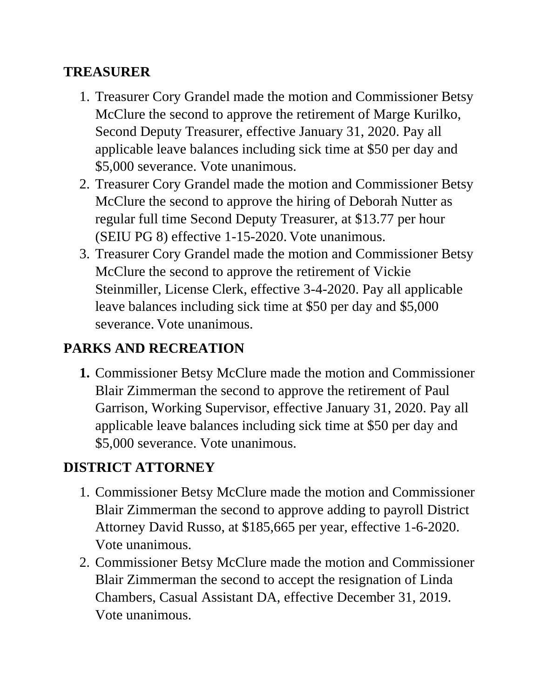#### **TREASURER**

- 1. Treasurer Cory Grandel made the motion and Commissioner Betsy McClure the second to approve the retirement of Marge Kurilko, Second Deputy Treasurer, effective January 31, 2020. Pay all applicable leave balances including sick time at \$50 per day and \$5,000 severance. Vote unanimous.
- 2. Treasurer Cory Grandel made the motion and Commissioner Betsy McClure the second to approve the hiring of Deborah Nutter as regular full time Second Deputy Treasurer, at \$13.77 per hour (SEIU PG 8) effective 1-15-2020. Vote unanimous.
- 3. Treasurer Cory Grandel made the motion and Commissioner Betsy McClure the second to approve the retirement of Vickie Steinmiller, License Clerk, effective 3-4-2020. Pay all applicable leave balances including sick time at \$50 per day and \$5,000 severance. Vote unanimous.

#### **PARKS AND RECREATION**

**1.** Commissioner Betsy McClure made the motion and Commissioner Blair Zimmerman the second to approve the retirement of Paul Garrison, Working Supervisor, effective January 31, 2020. Pay all applicable leave balances including sick time at \$50 per day and \$5,000 severance. Vote unanimous.

## **DISTRICT ATTORNEY**

- 1. Commissioner Betsy McClure made the motion and Commissioner Blair Zimmerman the second to approve adding to payroll District Attorney David Russo, at \$185,665 per year, effective 1-6-2020. Vote unanimous.
- 2. Commissioner Betsy McClure made the motion and Commissioner Blair Zimmerman the second to accept the resignation of Linda Chambers, Casual Assistant DA, effective December 31, 2019. Vote unanimous.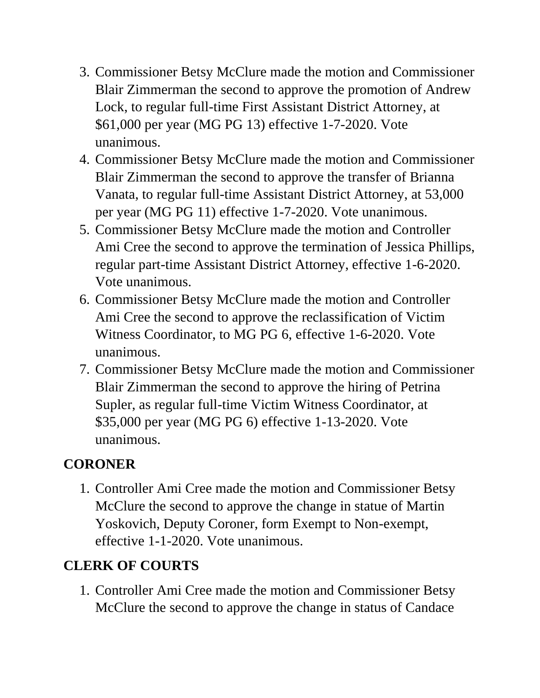- 3. Commissioner Betsy McClure made the motion and Commissioner Blair Zimmerman the second to approve the promotion of Andrew Lock, to regular full-time First Assistant District Attorney, at \$61,000 per year (MG PG 13) effective 1-7-2020. Vote unanimous.
- 4. Commissioner Betsy McClure made the motion and Commissioner Blair Zimmerman the second to approve the transfer of Brianna Vanata, to regular full-time Assistant District Attorney, at 53,000 per year (MG PG 11) effective 1-7-2020. Vote unanimous.
- 5. Commissioner Betsy McClure made the motion and Controller Ami Cree the second to approve the termination of Jessica Phillips, regular part-time Assistant District Attorney, effective 1-6-2020. Vote unanimous.
- 6. Commissioner Betsy McClure made the motion and Controller Ami Cree the second to approve the reclassification of Victim Witness Coordinator, to MG PG 6, effective 1-6-2020. Vote unanimous.
- 7. Commissioner Betsy McClure made the motion and Commissioner Blair Zimmerman the second to approve the hiring of Petrina Supler, as regular full-time Victim Witness Coordinator, at \$35,000 per year (MG PG 6) effective 1-13-2020. Vote unanimous.

## **CORONER**

1. Controller Ami Cree made the motion and Commissioner Betsy McClure the second to approve the change in statue of Martin Yoskovich, Deputy Coroner, form Exempt to Non-exempt, effective 1-1-2020. Vote unanimous.

## **CLERK OF COURTS**

1. Controller Ami Cree made the motion and Commissioner Betsy McClure the second to approve the change in status of Candace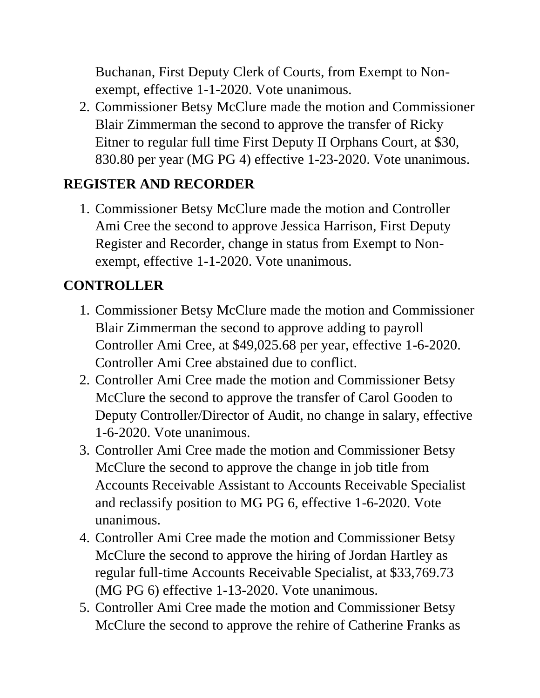Buchanan, First Deputy Clerk of Courts, from Exempt to Nonexempt, effective 1-1-2020. Vote unanimous.

2. Commissioner Betsy McClure made the motion and Commissioner Blair Zimmerman the second to approve the transfer of Ricky Eitner to regular full time First Deputy II Orphans Court, at \$30, 830.80 per year (MG PG 4) effective 1-23-2020. Vote unanimous.

## **REGISTER AND RECORDER**

1. Commissioner Betsy McClure made the motion and Controller Ami Cree the second to approve Jessica Harrison, First Deputy Register and Recorder, change in status from Exempt to Nonexempt, effective 1-1-2020. Vote unanimous.

## **CONTROLLER**

- 1. Commissioner Betsy McClure made the motion and Commissioner Blair Zimmerman the second to approve adding to payroll Controller Ami Cree, at \$49,025.68 per year, effective 1-6-2020. Controller Ami Cree abstained due to conflict.
- 2. Controller Ami Cree made the motion and Commissioner Betsy McClure the second to approve the transfer of Carol Gooden to Deputy Controller/Director of Audit, no change in salary, effective 1-6-2020. Vote unanimous.
- 3. Controller Ami Cree made the motion and Commissioner Betsy McClure the second to approve the change in job title from Accounts Receivable Assistant to Accounts Receivable Specialist and reclassify position to MG PG 6, effective 1-6-2020. Vote unanimous.
- 4. Controller Ami Cree made the motion and Commissioner Betsy McClure the second to approve the hiring of Jordan Hartley as regular full-time Accounts Receivable Specialist, at \$33,769.73 (MG PG 6) effective 1-13-2020. Vote unanimous.
- 5. Controller Ami Cree made the motion and Commissioner Betsy McClure the second to approve the rehire of Catherine Franks as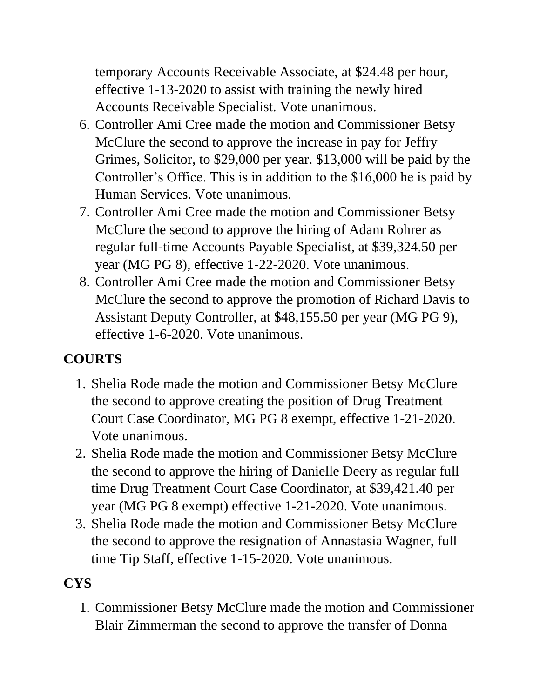temporary Accounts Receivable Associate, at \$24.48 per hour, effective 1-13-2020 to assist with training the newly hired Accounts Receivable Specialist. Vote unanimous.

- 6. Controller Ami Cree made the motion and Commissioner Betsy McClure the second to approve the increase in pay for Jeffry Grimes, Solicitor, to \$29,000 per year. \$13,000 will be paid by the Controller's Office. This is in addition to the \$16,000 he is paid by Human Services. Vote unanimous.
- 7. Controller Ami Cree made the motion and Commissioner Betsy McClure the second to approve the hiring of Adam Rohrer as regular full-time Accounts Payable Specialist, at \$39,324.50 per year (MG PG 8), effective 1-22-2020. Vote unanimous.
- 8. Controller Ami Cree made the motion and Commissioner Betsy McClure the second to approve the promotion of Richard Davis to Assistant Deputy Controller, at \$48,155.50 per year (MG PG 9), effective 1-6-2020. Vote unanimous.

## **COURTS**

- 1. Shelia Rode made the motion and Commissioner Betsy McClure the second to approve creating the position of Drug Treatment Court Case Coordinator, MG PG 8 exempt, effective 1-21-2020. Vote unanimous.
- 2. Shelia Rode made the motion and Commissioner Betsy McClure the second to approve the hiring of Danielle Deery as regular full time Drug Treatment Court Case Coordinator, at \$39,421.40 per year (MG PG 8 exempt) effective 1-21-2020. Vote unanimous.
- 3. Shelia Rode made the motion and Commissioner Betsy McClure the second to approve the resignation of Annastasia Wagner, full time Tip Staff, effective 1-15-2020. Vote unanimous.

# **CYS**

1. Commissioner Betsy McClure made the motion and Commissioner Blair Zimmerman the second to approve the transfer of Donna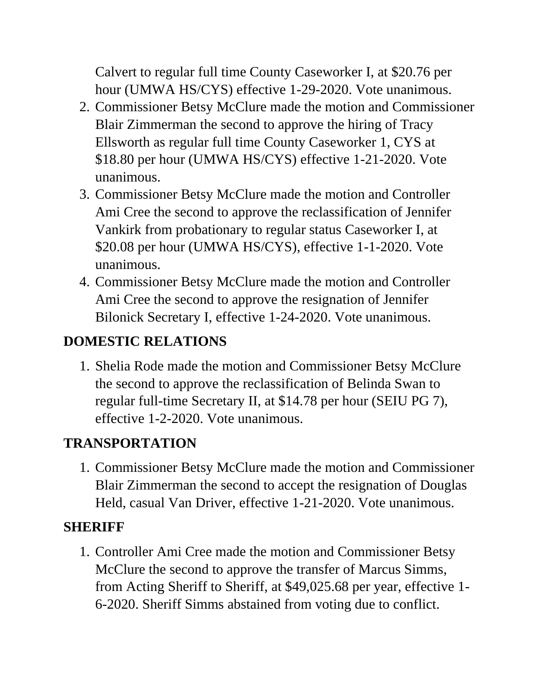Calvert to regular full time County Caseworker I, at \$20.76 per hour (UMWA HS/CYS) effective 1-29-2020. Vote unanimous.

- 2. Commissioner Betsy McClure made the motion and Commissioner Blair Zimmerman the second to approve the hiring of Tracy Ellsworth as regular full time County Caseworker 1, CYS at \$18.80 per hour (UMWA HS/CYS) effective 1-21-2020. Vote unanimous.
- 3. Commissioner Betsy McClure made the motion and Controller Ami Cree the second to approve the reclassification of Jennifer Vankirk from probationary to regular status Caseworker I, at \$20.08 per hour (UMWA HS/CYS), effective 1-1-2020. Vote unanimous.
- 4. Commissioner Betsy McClure made the motion and Controller Ami Cree the second to approve the resignation of Jennifer Bilonick Secretary I, effective 1-24-2020. Vote unanimous.

## **DOMESTIC RELATIONS**

1. Shelia Rode made the motion and Commissioner Betsy McClure the second to approve the reclassification of Belinda Swan to regular full-time Secretary II, at \$14.78 per hour (SEIU PG 7), effective 1-2-2020. Vote unanimous.

## **TRANSPORTATION**

1. Commissioner Betsy McClure made the motion and Commissioner Blair Zimmerman the second to accept the resignation of Douglas Held, casual Van Driver, effective 1-21-2020. Vote unanimous.

## **SHERIFF**

1. Controller Ami Cree made the motion and Commissioner Betsy McClure the second to approve the transfer of Marcus Simms, from Acting Sheriff to Sheriff, at \$49,025.68 per year, effective 1- 6-2020. Sheriff Simms abstained from voting due to conflict.